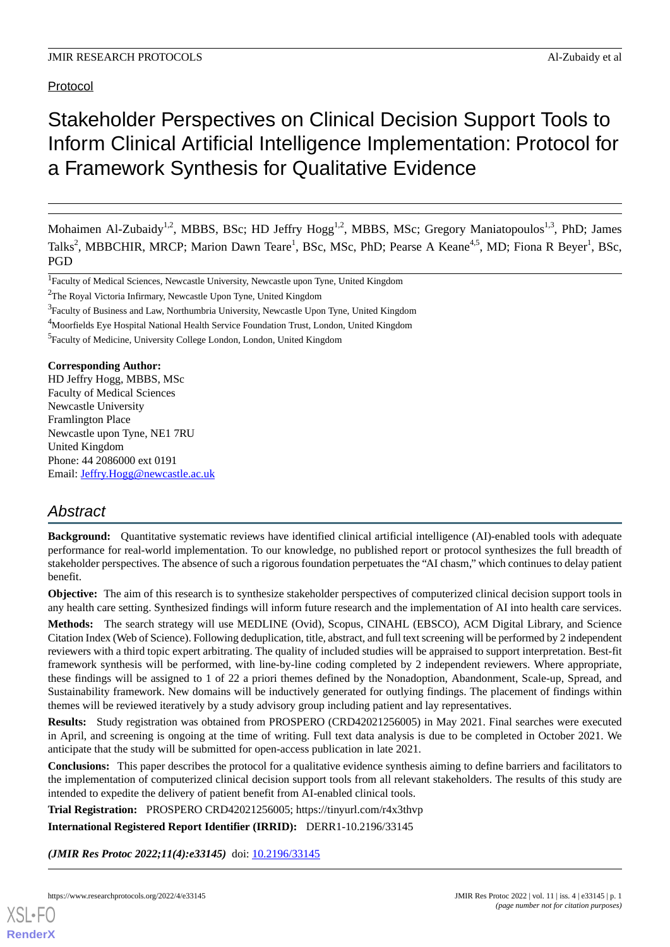Protocol

# Stakeholder Perspectives on Clinical Decision Support Tools to Inform Clinical Artificial Intelligence Implementation: Protocol for a Framework Synthesis for Qualitative Evidence

Mohaimen Al-Zubaidy<sup>1,2</sup>, MBBS, BSc; HD Jeffry Hogg<sup>1,2</sup>, MBBS, MSc; Gregory Maniatopoulos<sup>1,3</sup>, PhD; James Talks<sup>2</sup>, MBBCHIR, MRCP; Marion Dawn Teare<sup>1</sup>, BSc, MSc, PhD; Pearse A Keane<sup>4,5</sup>, MD; Fiona R Beyer<sup>1</sup>, BSc, PGD

<sup>4</sup>Moorfields Eye Hospital National Health Service Foundation Trust, London, United Kingdom

<sup>5</sup> Faculty of Medicine, University College London, London, United Kingdom

#### **Corresponding Author:**

HD Jeffry Hogg, MBBS, MSc Faculty of Medical Sciences Newcastle University Framlington Place Newcastle upon Tyne, NE1 7RU United Kingdom Phone: 44 2086000 ext 0191 Email: [Jeffry.Hogg@newcastle.ac.uk](mailto:Jeffry.Hogg@newcastle.ac.uk)

# *Abstract*

**Background:** Quantitative systematic reviews have identified clinical artificial intelligence (AI)-enabled tools with adequate performance for real-world implementation. To our knowledge, no published report or protocol synthesizes the full breadth of stakeholder perspectives. The absence of such a rigorous foundation perpetuates the "AI chasm," which continues to delay patient benefit.

**Objective:** The aim of this research is to synthesize stakeholder perspectives of computerized clinical decision support tools in any health care setting. Synthesized findings will inform future research and the implementation of AI into health care services.

**Methods:** The search strategy will use MEDLINE (Ovid), Scopus, CINAHL (EBSCO), ACM Digital Library, and Science Citation Index (Web of Science). Following deduplication, title, abstract, and full text screening will be performed by 2 independent reviewers with a third topic expert arbitrating. The quality of included studies will be appraised to support interpretation. Best-fit framework synthesis will be performed, with line-by-line coding completed by 2 independent reviewers. Where appropriate, these findings will be assigned to 1 of 22 a priori themes defined by the Nonadoption, Abandonment, Scale-up, Spread, and Sustainability framework. New domains will be inductively generated for outlying findings. The placement of findings within themes will be reviewed iteratively by a study advisory group including patient and lay representatives.

**Results:** Study registration was obtained from PROSPERO (CRD42021256005) in May 2021. Final searches were executed in April, and screening is ongoing at the time of writing. Full text data analysis is due to be completed in October 2021. We anticipate that the study will be submitted for open-access publication in late 2021.

**Conclusions:** This paper describes the protocol for a qualitative evidence synthesis aiming to define barriers and facilitators to the implementation of computerized clinical decision support tools from all relevant stakeholders. The results of this study are intended to expedite the delivery of patient benefit from AI-enabled clinical tools.

**Trial Registration:** PROSPERO CRD42021256005; https://tinyurl.com/r4x3thvp

**International Registered Report Identifier (IRRID):** DERR1-10.2196/33145

*(JMIR Res Protoc 2022;11(4):e33145)* doi:  $10.2196/33145$ 

<sup>&</sup>lt;sup>1</sup>Faculty of Medical Sciences, Newcastle University, Newcastle upon Tyne, United Kingdom

<sup>2</sup>The Royal Victoria Infirmary, Newcastle Upon Tyne, United Kingdom

<sup>&</sup>lt;sup>3</sup> Faculty of Business and Law, Northumbria University, Newcastle Upon Tyne, United Kingdom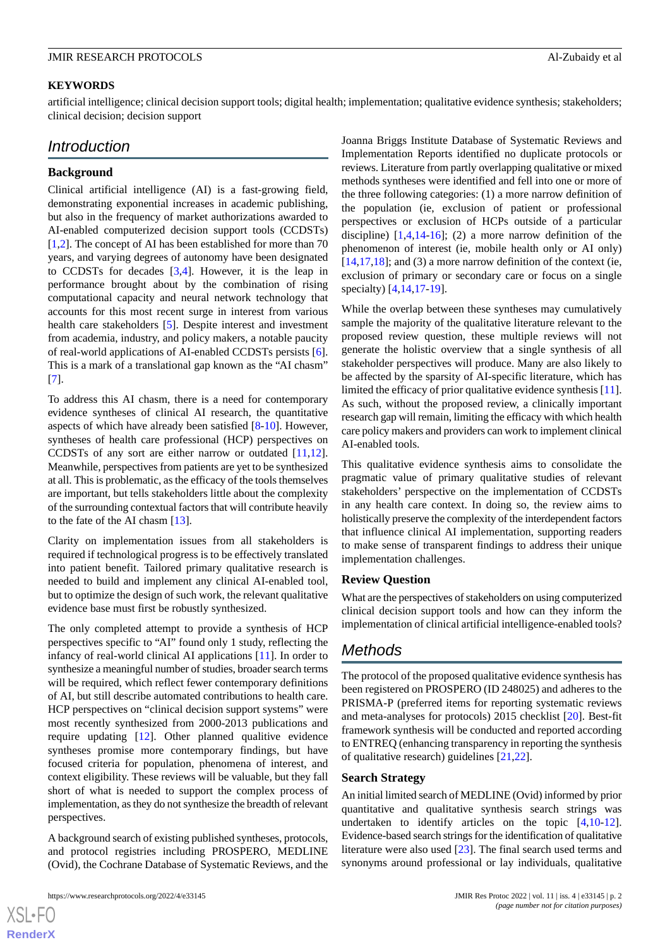#### **KEYWORDS**

artificial intelligence; clinical decision support tools; digital health; implementation; qualitative evidence synthesis; stakeholders; clinical decision; decision support

# *Introduction*

#### **Background**

Clinical artificial intelligence (AI) is a fast-growing field, demonstrating exponential increases in academic publishing, but also in the frequency of market authorizations awarded to AI-enabled computerized decision support tools (CCDSTs) [[1](#page-6-0)[,2](#page-6-1)]. The concept of AI has been established for more than 70 years, and varying degrees of autonomy have been designated to CCDSTs for decades [\[3](#page-6-2),[4\]](#page-6-3). However, it is the leap in performance brought about by the combination of rising computational capacity and neural network technology that accounts for this most recent surge in interest from various health care stakeholders [\[5](#page-6-4)]. Despite interest and investment from academia, industry, and policy makers, a notable paucity of real-world applications of AI-enabled CCDSTs persists [[6\]](#page-6-5). This is a mark of a translational gap known as the "AI chasm" [[7\]](#page-6-6).

To address this AI chasm, there is a need for contemporary evidence syntheses of clinical AI research, the quantitative aspects of which have already been satisfied [[8-](#page-6-7)[10\]](#page-6-8). However, syntheses of health care professional (HCP) perspectives on CCDSTs of any sort are either narrow or outdated [\[11](#page-6-9),[12\]](#page-6-10). Meanwhile, perspectives from patients are yet to be synthesized at all. This is problematic, as the efficacy of the tools themselves are important, but tells stakeholders little about the complexity of the surrounding contextual factors that will contribute heavily to the fate of the AI chasm [[13\]](#page-6-11).

Clarity on implementation issues from all stakeholders is required if technological progress is to be effectively translated into patient benefit. Tailored primary qualitative research is needed to build and implement any clinical AI-enabled tool, but to optimize the design of such work, the relevant qualitative evidence base must first be robustly synthesized.

The only completed attempt to provide a synthesis of HCP perspectives specific to "AI" found only 1 study, reflecting the infancy of real-world clinical AI applications [\[11](#page-6-9)]. In order to synthesize a meaningful number of studies, broader search terms will be required, which reflect fewer contemporary definitions of AI, but still describe automated contributions to health care. HCP perspectives on "clinical decision support systems" were most recently synthesized from 2000-2013 publications and require updating [\[12](#page-6-10)]. Other planned qualitive evidence syntheses promise more contemporary findings, but have focused criteria for population, phenomena of interest, and context eligibility. These reviews will be valuable, but they fall short of what is needed to support the complex process of implementation, as they do not synthesize the breadth of relevant perspectives.

A background search of existing published syntheses, protocols, and protocol registries including PROSPERO, MEDLINE (Ovid), the Cochrane Database of Systematic Reviews, and the

https://www.researchprotocols.org/2022/4/e33145 JMIR Res Protoc 2022 | vol. 11 | iss. 4 | e33145 | p. 2

Joanna Briggs Institute Database of Systematic Reviews and Implementation Reports identified no duplicate protocols or reviews. Literature from partly overlapping qualitative or mixed methods syntheses were identified and fell into one or more of the three following categories: (1) a more narrow definition of the population (ie, exclusion of patient or professional perspectives or exclusion of HCPs outside of a particular discipline)  $[1,4,14-16]$  $[1,4,14-16]$  $[1,4,14-16]$  $[1,4,14-16]$  $[1,4,14-16]$  $[1,4,14-16]$ ; (2) a more narrow definition of the phenomenon of interest (ie, mobile health only or AI only)  $[14,17,18]$  $[14,17,18]$  $[14,17,18]$  $[14,17,18]$ ; and (3) a more narrow definition of the context (ie, exclusion of primary or secondary care or focus on a single specialty) [\[4](#page-6-3),[14](#page-6-12)[,17](#page-6-14)-[19\]](#page-6-16).

While the overlap between these syntheses may cumulatively sample the majority of the qualitative literature relevant to the proposed review question, these multiple reviews will not generate the holistic overview that a single synthesis of all stakeholder perspectives will produce. Many are also likely to be affected by the sparsity of AI-specific literature, which has limited the efficacy of prior qualitative evidence synthesis [[11\]](#page-6-9). As such, without the proposed review, a clinically important research gap will remain, limiting the efficacy with which health care policy makers and providers can work to implement clinical AI-enabled tools.

This qualitative evidence synthesis aims to consolidate the pragmatic value of primary qualitative studies of relevant stakeholders' perspective on the implementation of CCDSTs in any health care context. In doing so, the review aims to holistically preserve the complexity of the interdependent factors that influence clinical AI implementation, supporting readers to make sense of transparent findings to address their unique implementation challenges.

#### **Review Question**

What are the perspectives of stakeholders on using computerized clinical decision support tools and how can they inform the implementation of clinical artificial intelligence-enabled tools?

# *Methods*

The protocol of the proposed qualitative evidence synthesis has been registered on PROSPERO (ID 248025) and adheres to the PRISMA-P (preferred items for reporting systematic reviews and meta-analyses for protocols) 2015 checklist [\[20](#page-7-0)]. Best-fit framework synthesis will be conducted and reported according to ENTREQ (enhancing transparency in reporting the synthesis of qualitative research) guidelines [[21](#page-7-1)[,22](#page-7-2)].

#### **Search Strategy**

An initial limited search of MEDLINE (Ovid) informed by prior quantitative and qualitative synthesis search strings was undertaken to identify articles on the topic [\[4](#page-6-3),[10-](#page-6-8)[12\]](#page-6-10). Evidence-based search strings for the identification of qualitative literature were also used [\[23](#page-7-3)]. The final search used terms and synonyms around professional or lay individuals, qualitative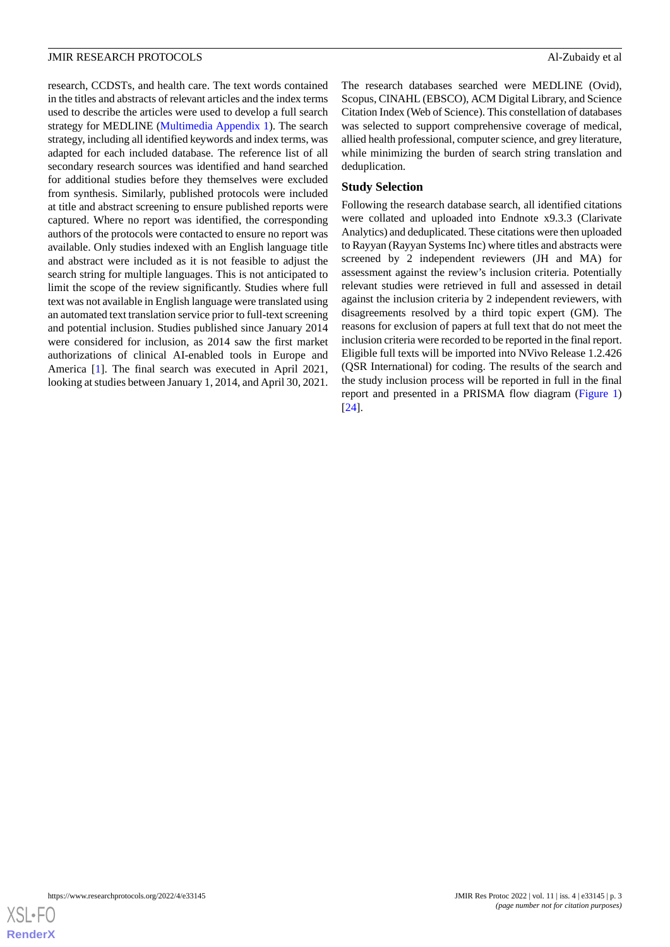research, CCDSTs, and health care. The text words contained in the titles and abstracts of relevant articles and the index terms used to describe the articles were used to develop a full search strategy for MEDLINE [\(Multimedia Appendix 1](#page-6-17)). The search strategy, including all identified keywords and index terms, was adapted for each included database. The reference list of all secondary research sources was identified and hand searched for additional studies before they themselves were excluded from synthesis. Similarly, published protocols were included at title and abstract screening to ensure published reports were captured. Where no report was identified, the corresponding authors of the protocols were contacted to ensure no report was available. Only studies indexed with an English language title and abstract were included as it is not feasible to adjust the search string for multiple languages. This is not anticipated to limit the scope of the review significantly. Studies where full text was not available in English language were translated using an automated text translation service prior to full-text screening and potential inclusion. Studies published since January 2014 were considered for inclusion, as 2014 saw the first market authorizations of clinical AI-enabled tools in Europe and America [[1\]](#page-6-0). The final search was executed in April 2021, looking at studies between January 1, 2014, and April 30, 2021.

The research databases searched were MEDLINE (Ovid), Scopus, CINAHL (EBSCO), ACM Digital Library, and Science Citation Index (Web of Science). This constellation of databases was selected to support comprehensive coverage of medical, allied health professional, computer science, and grey literature, while minimizing the burden of search string translation and deduplication.

### **Study Selection**

Following the research database search, all identified citations were collated and uploaded into Endnote x9.3.3 (Clarivate Analytics) and deduplicated. These citations were then uploaded to Rayyan (Rayyan Systems Inc) where titles and abstracts were screened by 2 independent reviewers (JH and MA) for assessment against the review's inclusion criteria. Potentially relevant studies were retrieved in full and assessed in detail against the inclusion criteria by 2 independent reviewers, with disagreements resolved by a third topic expert (GM). The reasons for exclusion of papers at full text that do not meet the inclusion criteria were recorded to be reported in the final report. Eligible full texts will be imported into NVivo Release 1.2.426 (QSR International) for coding. The results of the search and the study inclusion process will be reported in full in the final report and presented in a PRISMA flow diagram [\(Figure 1](#page-3-0)) [[24\]](#page-7-4).

**[RenderX](http://www.renderx.com/)**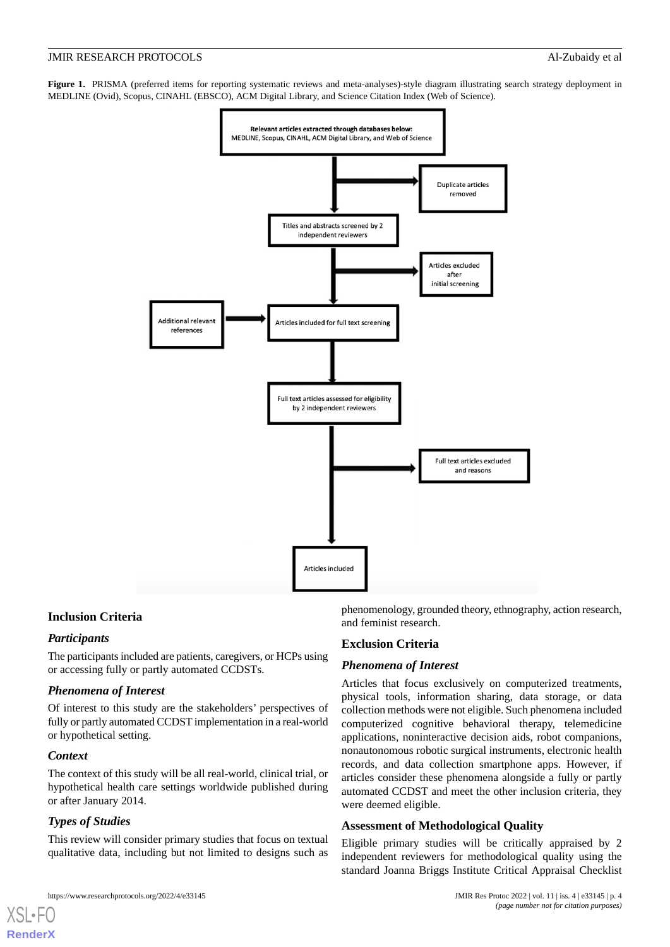<span id="page-3-0"></span>**Figure 1.** PRISMA (preferred items for reporting systematic reviews and meta-analyses)-style diagram illustrating search strategy deployment in MEDLINE (Ovid), Scopus, CINAHL (EBSCO), ACM Digital Library, and Science Citation Index (Web of Science).



#### **Inclusion Criteria**

# *Participants*

The participants included are patients, caregivers, or HCPs using or accessing fully or partly automated CCDSTs.

#### *Phenomena of Interest*

Of interest to this study are the stakeholders' perspectives of fully or partly automated CCDST implementation in a real-world or hypothetical setting.

#### *Context*

[XSL](http://www.w3.org/Style/XSL)•FO **[RenderX](http://www.renderx.com/)**

The context of this study will be all real-world, clinical trial, or hypothetical health care settings worldwide published during or after January 2014.

# *Types of Studies*

This review will consider primary studies that focus on textual qualitative data, including but not limited to designs such as

phenomenology, grounded theory, ethnography, action research, and feminist research.

#### **Exclusion Criteria**

#### *Phenomena of Interest*

Articles that focus exclusively on computerized treatments, physical tools, information sharing, data storage, or data collection methods were not eligible. Such phenomena included computerized cognitive behavioral therapy, telemedicine applications, noninteractive decision aids, robot companions, nonautonomous robotic surgical instruments, electronic health records, and data collection smartphone apps. However, if articles consider these phenomena alongside a fully or partly automated CCDST and meet the other inclusion criteria, they were deemed eligible.

# **Assessment of Methodological Quality**

Eligible primary studies will be critically appraised by 2 independent reviewers for methodological quality using the standard Joanna Briggs Institute Critical Appraisal Checklist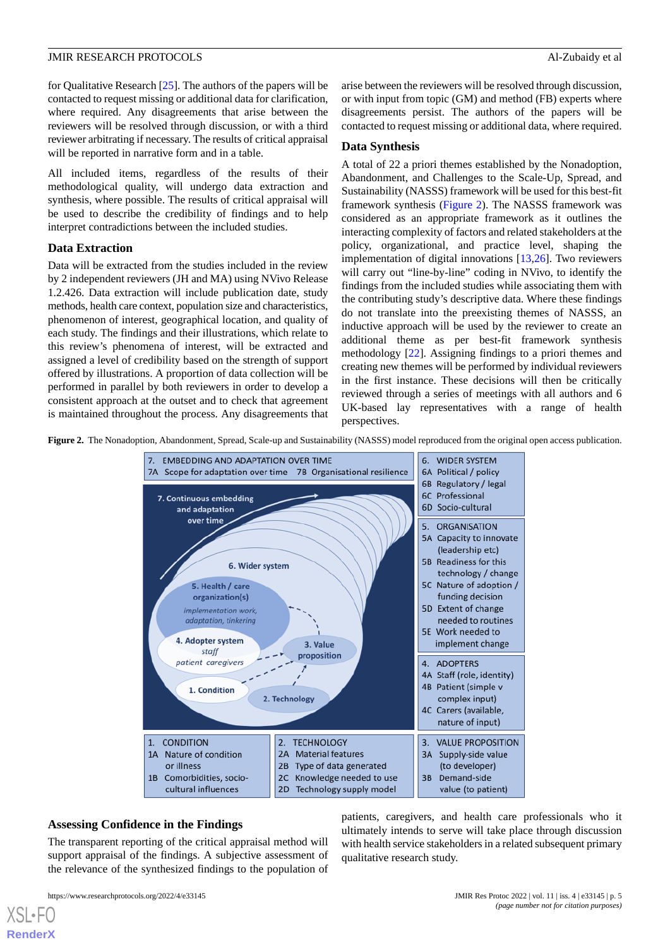for Qualitative Research [\[25](#page-7-5)]. The authors of the papers will be contacted to request missing or additional data for clarification, where required. Any disagreements that arise between the reviewers will be resolved through discussion, or with a third reviewer arbitrating if necessary. The results of critical appraisal will be reported in narrative form and in a table.

All included items, regardless of the results of their methodological quality, will undergo data extraction and synthesis, where possible. The results of critical appraisal will be used to describe the credibility of findings and to help interpret contradictions between the included studies.

#### **Data Extraction**

Data will be extracted from the studies included in the review by 2 independent reviewers (JH and MA) using NVivo Release 1.2.426. Data extraction will include publication date, study methods, health care context, population size and characteristics, phenomenon of interest, geographical location, and quality of each study. The findings and their illustrations, which relate to this review's phenomena of interest, will be extracted and assigned a level of credibility based on the strength of support offered by illustrations. A proportion of data collection will be performed in parallel by both reviewers in order to develop a consistent approach at the outset and to check that agreement is maintained throughout the process. Any disagreements that arise between the reviewers will be resolved through discussion, or with input from topic (GM) and method (FB) experts where disagreements persist. The authors of the papers will be contacted to request missing or additional data, where required.

#### **Data Synthesis**

A total of 22 a priori themes established by the Nonadoption, Abandonment, and Challenges to the Scale-Up, Spread, and Sustainability (NASSS) framework will be used for this best-fit framework synthesis ([Figure 2](#page-4-0)). The NASSS framework was considered as an appropriate framework as it outlines the interacting complexity of factors and related stakeholders at the policy, organizational, and practice level, shaping the implementation of digital innovations [\[13](#page-6-11),[26\]](#page-7-6). Two reviewers will carry out "line-by-line" coding in NVivo, to identify the findings from the included studies while associating them with the contributing study's descriptive data. Where these findings do not translate into the preexisting themes of NASSS, an inductive approach will be used by the reviewer to create an additional theme as per best-fit framework synthesis methodology [\[22](#page-7-2)]. Assigning findings to a priori themes and creating new themes will be performed by individual reviewers in the first instance. These decisions will then be critically reviewed through a series of meetings with all authors and 6 UK-based lay representatives with a range of health perspectives.

<span id="page-4-0"></span>**Figure 2.** The Nonadoption, Abandonment, Spread, Scale-up and Sustainability (NASSS) model reproduced from the original open access publication.



# **Assessing Confidence in the Findings**

The transparent reporting of the critical appraisal method will support appraisal of the findings. A subjective assessment of the relevance of the synthesized findings to the population of

[XSL](http://www.w3.org/Style/XSL)•FO **[RenderX](http://www.renderx.com/)**

patients, caregivers, and health care professionals who it ultimately intends to serve will take place through discussion with health service stakeholders in a related subsequent primary qualitative research study.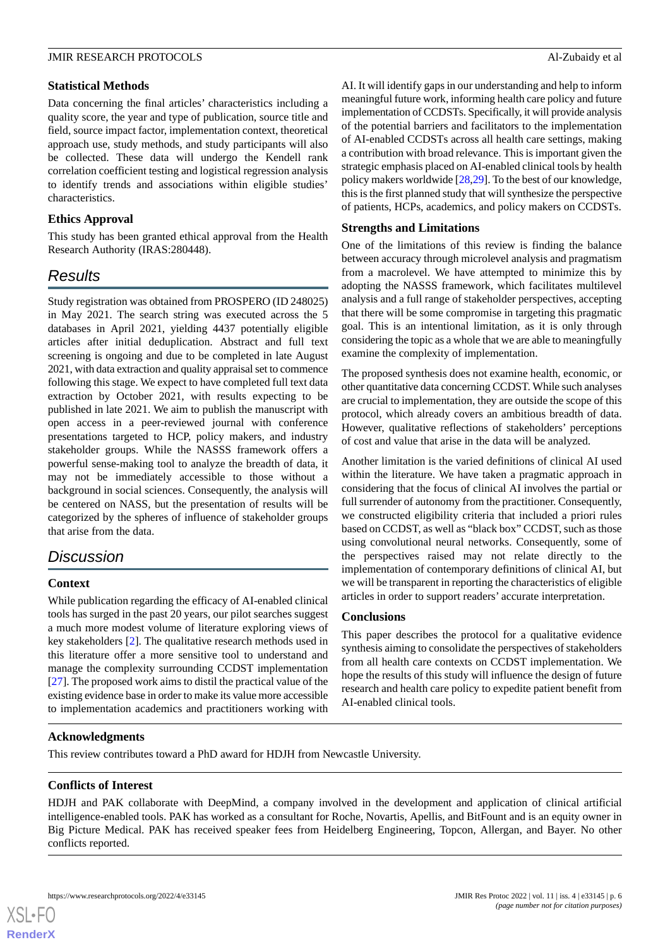### **Statistical Methods**

Data concerning the final articles' characteristics including a quality score, the year and type of publication, source title and field, source impact factor, implementation context, theoretical approach use, study methods, and study participants will also be collected. These data will undergo the Kendell rank correlation coefficient testing and logistical regression analysis to identify trends and associations within eligible studies' characteristics.

# **Ethics Approval**

This study has been granted ethical approval from the Health Research Authority (IRAS:280448).

# *Results*

Study registration was obtained from PROSPERO (ID 248025) in May 2021. The search string was executed across the 5 databases in April 2021, yielding 4437 potentially eligible articles after initial deduplication. Abstract and full text screening is ongoing and due to be completed in late August 2021, with data extraction and quality appraisal set to commence following this stage. We expect to have completed full text data extraction by October 2021, with results expecting to be published in late 2021. We aim to publish the manuscript with open access in a peer-reviewed journal with conference presentations targeted to HCP, policy makers, and industry stakeholder groups. While the NASSS framework offers a powerful sense-making tool to analyze the breadth of data, it may not be immediately accessible to those without a background in social sciences. Consequently, the analysis will be centered on NASS, but the presentation of results will be categorized by the spheres of influence of stakeholder groups that arise from the data.

# *Discussion*

# **Context**

While publication regarding the efficacy of AI-enabled clinical tools has surged in the past 20 years, our pilot searches suggest a much more modest volume of literature exploring views of key stakeholders [[2\]](#page-6-1). The qualitative research methods used in this literature offer a more sensitive tool to understand and manage the complexity surrounding CCDST implementation [[27\]](#page-7-7). The proposed work aims to distil the practical value of the existing evidence base in order to make its value more accessible to implementation academics and practitioners working with

AI. It will identify gaps in our understanding and help to inform meaningful future work, informing health care policy and future implementation of CCDSTs. Specifically, it will provide analysis of the potential barriers and facilitators to the implementation of AI-enabled CCDSTs across all health care settings, making a contribution with broad relevance. This is important given the strategic emphasis placed on AI-enabled clinical tools by health policy makers worldwide [[28](#page-7-8)[,29](#page-7-9)]. To the best of our knowledge, this is the first planned study that will synthesize the perspective of patients, HCPs, academics, and policy makers on CCDSTs.

# **Strengths and Limitations**

One of the limitations of this review is finding the balance between accuracy through microlevel analysis and pragmatism from a macrolevel. We have attempted to minimize this by adopting the NASSS framework, which facilitates multilevel analysis and a full range of stakeholder perspectives, accepting that there will be some compromise in targeting this pragmatic goal. This is an intentional limitation, as it is only through considering the topic as a whole that we are able to meaningfully examine the complexity of implementation.

The proposed synthesis does not examine health, economic, or other quantitative data concerning CCDST. While such analyses are crucial to implementation, they are outside the scope of this protocol, which already covers an ambitious breadth of data. However, qualitative reflections of stakeholders' perceptions of cost and value that arise in the data will be analyzed.

Another limitation is the varied definitions of clinical AI used within the literature. We have taken a pragmatic approach in considering that the focus of clinical AI involves the partial or full surrender of autonomy from the practitioner. Consequently, we constructed eligibility criteria that included a priori rules based on CCDST, as well as "black box" CCDST, such as those using convolutional neural networks. Consequently, some of the perspectives raised may not relate directly to the implementation of contemporary definitions of clinical AI, but we will be transparent in reporting the characteristics of eligible articles in order to support readers' accurate interpretation.

# **Conclusions**

This paper describes the protocol for a qualitative evidence synthesis aiming to consolidate the perspectives of stakeholders from all health care contexts on CCDST implementation. We hope the results of this study will influence the design of future research and health care policy to expedite patient benefit from AI-enabled clinical tools.

# **Acknowledgments**

This review contributes toward a PhD award for HDJH from Newcastle University.

# **Conflicts of Interest**

HDJH and PAK collaborate with DeepMind, a company involved in the development and application of clinical artificial intelligence-enabled tools. PAK has worked as a consultant for Roche, Novartis, Apellis, and BitFount and is an equity owner in Big Picture Medical. PAK has received speaker fees from Heidelberg Engineering, Topcon, Allergan, and Bayer. No other conflicts reported.

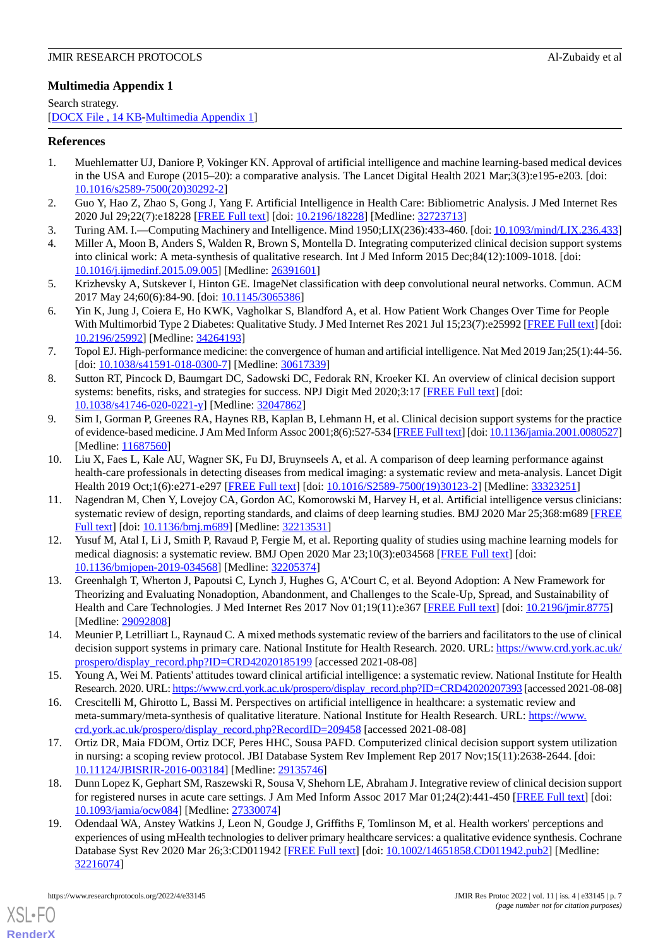# <span id="page-6-17"></span>**Multimedia Appendix 1**

Search strategy. [[DOCX File , 14 KB](https://jmir.org/api/download?alt_name=resprot_v11i4e33145_app1.docx&filename=0fcfbbb519b553316edd46775dc8cd0d.docx)-[Multimedia Appendix 1\]](https://jmir.org/api/download?alt_name=resprot_v11i4e33145_app1.docx&filename=0fcfbbb519b553316edd46775dc8cd0d.docx)

### <span id="page-6-0"></span>**References**

- 1. Muehlematter UJ, Daniore P, Vokinger KN. Approval of artificial intelligence and machine learning-based medical devices in the USA and Europe (2015–20): a comparative analysis. The Lancet Digital Health 2021 Mar;3(3):e195-e203. [doi: [10.1016/s2589-7500\(20\)30292-2](http://dx.doi.org/10.1016/s2589-7500(20)30292-2)]
- <span id="page-6-2"></span><span id="page-6-1"></span>2. Guo Y, Hao Z, Zhao S, Gong J, Yang F. Artificial Intelligence in Health Care: Bibliometric Analysis. J Med Internet Res 2020 Jul 29;22(7):e18228 [[FREE Full text](https://www.jmir.org/2020/7/e18228/)] [doi: [10.2196/18228\]](http://dx.doi.org/10.2196/18228) [Medline: [32723713](http://www.ncbi.nlm.nih.gov/entrez/query.fcgi?cmd=Retrieve&db=PubMed&list_uids=32723713&dopt=Abstract)]
- <span id="page-6-3"></span>3. Turing AM. I.—Computing Machinery and Intelligence. Mind 1950;LIX(236):433-460. [doi: [10.1093/mind/LIX.236.433](http://dx.doi.org/10.1093/mind/LIX.236.433)]
- <span id="page-6-4"></span>4. Miller A, Moon B, Anders S, Walden R, Brown S, Montella D. Integrating computerized clinical decision support systems into clinical work: A meta-synthesis of qualitative research. Int J Med Inform 2015 Dec;84(12):1009-1018. [doi: [10.1016/j.ijmedinf.2015.09.005\]](http://dx.doi.org/10.1016/j.ijmedinf.2015.09.005) [Medline: [26391601](http://www.ncbi.nlm.nih.gov/entrez/query.fcgi?cmd=Retrieve&db=PubMed&list_uids=26391601&dopt=Abstract)]
- <span id="page-6-5"></span>5. Krizhevsky A, Sutskever I, Hinton GE. ImageNet classification with deep convolutional neural networks. Commun. ACM 2017 May 24;60(6):84-90. [doi: [10.1145/3065386](http://dx.doi.org/10.1145/3065386)]
- <span id="page-6-6"></span>6. Yin K, Jung J, Coiera E, Ho KWK, Vagholkar S, Blandford A, et al. How Patient Work Changes Over Time for People With Multimorbid Type 2 Diabetes: Qualitative Study. J Med Internet Res 2021 Jul 15;23(7):e25992 [[FREE Full text](https://www.jmir.org/2021/7/e25992/)] [doi: [10.2196/25992\]](http://dx.doi.org/10.2196/25992) [Medline: [34264193\]](http://www.ncbi.nlm.nih.gov/entrez/query.fcgi?cmd=Retrieve&db=PubMed&list_uids=34264193&dopt=Abstract)
- <span id="page-6-7"></span>7. Topol EJ. High-performance medicine: the convergence of human and artificial intelligence. Nat Med 2019 Jan;25(1):44-56. [doi: [10.1038/s41591-018-0300-7](http://dx.doi.org/10.1038/s41591-018-0300-7)] [Medline: [30617339\]](http://www.ncbi.nlm.nih.gov/entrez/query.fcgi?cmd=Retrieve&db=PubMed&list_uids=30617339&dopt=Abstract)
- 8. Sutton RT, Pincock D, Baumgart DC, Sadowski DC, Fedorak RN, Kroeker KI. An overview of clinical decision support systems: benefits, risks, and strategies for success. NPJ Digit Med 2020;3:17 [[FREE Full text\]](https://doi.org/10.1038/s41746-020-0221-y) [doi: [10.1038/s41746-020-0221-y\]](http://dx.doi.org/10.1038/s41746-020-0221-y) [Medline: [32047862](http://www.ncbi.nlm.nih.gov/entrez/query.fcgi?cmd=Retrieve&db=PubMed&list_uids=32047862&dopt=Abstract)]
- <span id="page-6-8"></span>9. Sim I, Gorman P, Greenes RA, Haynes RB, Kaplan B, Lehmann H, et al. Clinical decision support systems for the practice of evidence-based medicine. J Am Med Inform Assoc 2001;8(6):527-534 [[FREE Full text](http://europepmc.org/abstract/MED/11687560)] [doi: [10.1136/jamia.2001.0080527\]](http://dx.doi.org/10.1136/jamia.2001.0080527) [Medline: [11687560](http://www.ncbi.nlm.nih.gov/entrez/query.fcgi?cmd=Retrieve&db=PubMed&list_uids=11687560&dopt=Abstract)]
- <span id="page-6-9"></span>10. Liu X, Faes L, Kale AU, Wagner SK, Fu DJ, Bruynseels A, et al. A comparison of deep learning performance against health-care professionals in detecting diseases from medical imaging: a systematic review and meta-analysis. Lancet Digit Health 2019 Oct;1(6):e271-e297 [[FREE Full text](https://linkinghub.elsevier.com/retrieve/pii/S2589-7500(19)30123-2)] [doi: [10.1016/S2589-7500\(19\)30123-2\]](http://dx.doi.org/10.1016/S2589-7500(19)30123-2) [Medline: [33323251](http://www.ncbi.nlm.nih.gov/entrez/query.fcgi?cmd=Retrieve&db=PubMed&list_uids=33323251&dopt=Abstract)]
- <span id="page-6-10"></span>11. Nagendran M, Chen Y, Lovejoy CA, Gordon AC, Komorowski M, Harvey H, et al. Artificial intelligence versus clinicians: systematic review of design, reporting standards, and claims of deep learning studies. BMJ 2020 Mar 25;368:m689 [\[FREE](http://www.bmj.com/lookup/pmidlookup?view=long&pmid=32213531) [Full text\]](http://www.bmj.com/lookup/pmidlookup?view=long&pmid=32213531) [doi: [10.1136/bmj.m689](http://dx.doi.org/10.1136/bmj.m689)] [Medline: [32213531](http://www.ncbi.nlm.nih.gov/entrez/query.fcgi?cmd=Retrieve&db=PubMed&list_uids=32213531&dopt=Abstract)]
- <span id="page-6-11"></span>12. Yusuf M, Atal I, Li J, Smith P, Ravaud P, Fergie M, et al. Reporting quality of studies using machine learning models for medical diagnosis: a systematic review. BMJ Open 2020 Mar 23;10(3):e034568 [[FREE Full text](https://bmjopen.bmj.com/lookup/pmidlookup?view=long&pmid=32205374)] [doi: [10.1136/bmjopen-2019-034568\]](http://dx.doi.org/10.1136/bmjopen-2019-034568) [Medline: [32205374](http://www.ncbi.nlm.nih.gov/entrez/query.fcgi?cmd=Retrieve&db=PubMed&list_uids=32205374&dopt=Abstract)]
- <span id="page-6-12"></span>13. Greenhalgh T, Wherton J, Papoutsi C, Lynch J, Hughes G, A'Court C, et al. Beyond Adoption: A New Framework for Theorizing and Evaluating Nonadoption, Abandonment, and Challenges to the Scale-Up, Spread, and Sustainability of Health and Care Technologies. J Med Internet Res 2017 Nov 01;19(11):e367 [\[FREE Full text](https://www.jmir.org/2017/11/e367/)] [doi: [10.2196/jmir.8775\]](http://dx.doi.org/10.2196/jmir.8775) [Medline: [29092808](http://www.ncbi.nlm.nih.gov/entrez/query.fcgi?cmd=Retrieve&db=PubMed&list_uids=29092808&dopt=Abstract)]
- <span id="page-6-13"></span>14. Meunier P, Letrilliart L, Raynaud C. A mixed methods systematic review of the barriers and facilitators to the use of clinical decision support systems in primary care. National Institute for Health Research. 2020. URL: [https://www.crd.york.ac.uk/](https://www.crd.york.ac.uk/prospero/display_record.php?ID=CRD42020185199) [prospero/display\\_record.php?ID=CRD42020185199](https://www.crd.york.ac.uk/prospero/display_record.php?ID=CRD42020185199) [accessed 2021-08-08]
- <span id="page-6-14"></span>15. Young A, Wei M. Patients' attitudes toward clinical artificial intelligence: a systematic review. National Institute for Health Research. 2020. URL: [https://www.crd.york.ac.uk/prospero/display\\_record.php?ID=CRD42020207393](https://www.crd.york.ac.uk/prospero/display_record.php?ID=CRD42020207393) [accessed 2021-08-08]
- <span id="page-6-15"></span>16. Crescitelli M, Ghirotto L, Bassi M. Perspectives on artificial intelligence in healthcare: a systematic review and meta-summary/meta-synthesis of qualitative literature. National Institute for Health Research. URL: [https://www.](https://www.crd.york.ac.uk/prospero/display_record.php?RecordID=209458) [crd.york.ac.uk/prospero/display\\_record.php?RecordID=209458](https://www.crd.york.ac.uk/prospero/display_record.php?RecordID=209458) [accessed 2021-08-08]
- <span id="page-6-16"></span>17. Ortiz DR, Maia FDOM, Ortiz DCF, Peres HHC, Sousa PAFD. Computerized clinical decision support system utilization in nursing: a scoping review protocol. JBI Database System Rev Implement Rep 2017 Nov;15(11):2638-2644. [doi: [10.11124/JBISRIR-2016-003184\]](http://dx.doi.org/10.11124/JBISRIR-2016-003184) [Medline: [29135746](http://www.ncbi.nlm.nih.gov/entrez/query.fcgi?cmd=Retrieve&db=PubMed&list_uids=29135746&dopt=Abstract)]
- 18. Dunn Lopez K, Gephart SM, Raszewski R, Sousa V, Shehorn LE, Abraham J. Integrative review of clinical decision support for registered nurses in acute care settings. J Am Med Inform Assoc 2017 Mar 01;24(2):441-450 [\[FREE Full text\]](http://europepmc.org/abstract/MED/27330074) [doi: [10.1093/jamia/ocw084](http://dx.doi.org/10.1093/jamia/ocw084)] [Medline: [27330074](http://www.ncbi.nlm.nih.gov/entrez/query.fcgi?cmd=Retrieve&db=PubMed&list_uids=27330074&dopt=Abstract)]
- 19. Odendaal WA, Anstey Watkins J, Leon N, Goudge J, Griffiths F, Tomlinson M, et al. Health workers' perceptions and experiences of using mHealth technologies to deliver primary healthcare services: a qualitative evidence synthesis. Cochrane Database Syst Rev 2020 Mar 26;3:CD011942 [[FREE Full text](http://europepmc.org/abstract/MED/32216074)] [doi: [10.1002/14651858.CD011942.pub2\]](http://dx.doi.org/10.1002/14651858.CD011942.pub2) [Medline: [32216074](http://www.ncbi.nlm.nih.gov/entrez/query.fcgi?cmd=Retrieve&db=PubMed&list_uids=32216074&dopt=Abstract)]